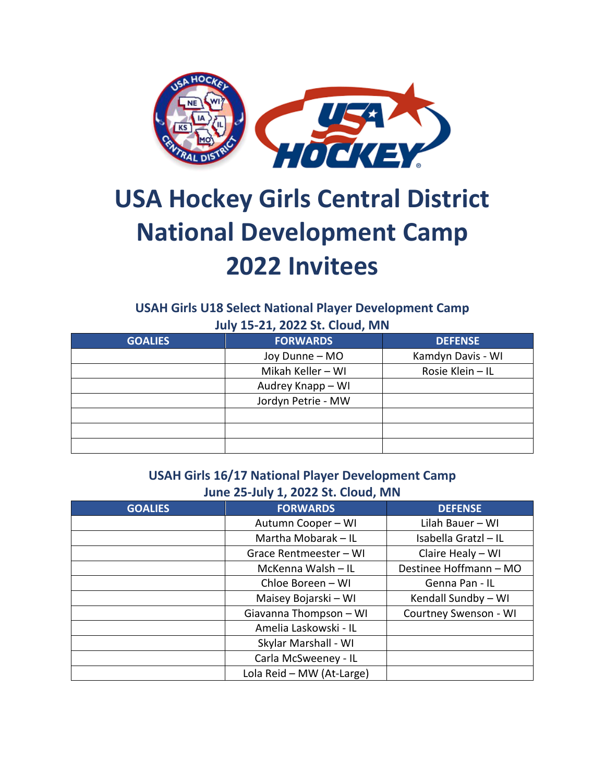

## **USA Hockey Girls Central District National Development Camp 2022 Invitees**

## **USAH Girls U18 Select National Player Development Camp July 15-21, 2022 St. Cloud, MN**

| <b>GOALIES</b> | <b>FORWARDS</b>    | <b>DEFENSE</b>    |
|----------------|--------------------|-------------------|
|                | Joy Dunne - MO     | Kamdyn Davis - WI |
|                | Mikah Keller - WI  | Rosie Klein - IL  |
|                | Audrey Knapp - WI  |                   |
|                | Jordyn Petrie - MW |                   |
|                |                    |                   |
|                |                    |                   |
|                |                    |                   |

## **USAH Girls 16/17 National Player Development Camp June 25-July 1, 2022 St. Cloud, MN**

| <b>GOALIES</b> | <b>FORWARDS</b>           | <b>DEFENSE</b>         |
|----------------|---------------------------|------------------------|
|                | Autumn Cooper - WI        | Lilah Bauer - WI       |
|                | Martha Mobarak - IL       | Isabella Gratzl - IL   |
|                | Grace Rentmeester - WI    | Claire Healy - WI      |
|                | McKenna Walsh - IL        | Destinee Hoffmann - MO |
|                | Chloe Boreen - WI         | Genna Pan - IL         |
|                | Maisey Bojarski - WI      | Kendall Sundby - WI    |
|                | Giavanna Thompson - WI    | Courtney Swenson - WI  |
|                | Amelia Laskowski - IL     |                        |
|                | Skylar Marshall - WI      |                        |
|                | Carla McSweeney - IL      |                        |
|                | Lola Reid - MW (At-Large) |                        |